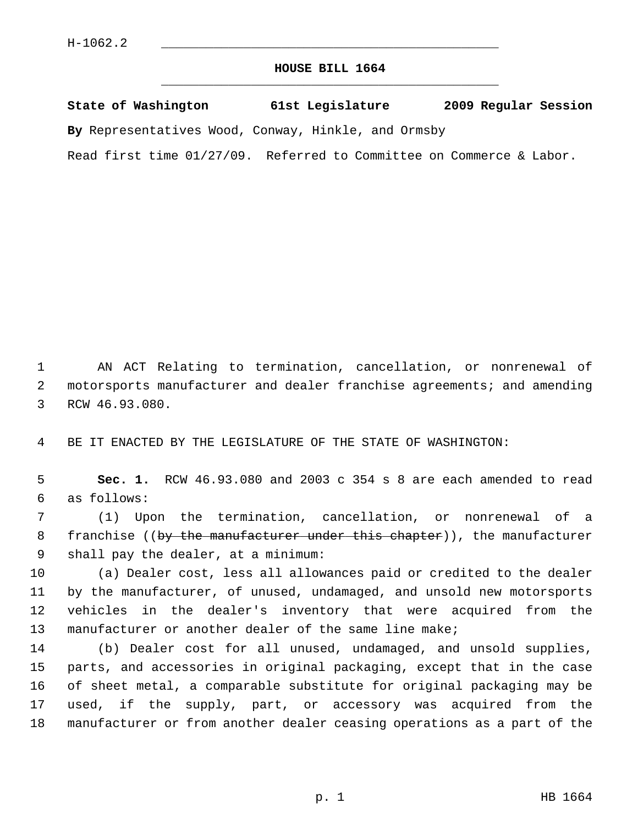## **HOUSE BILL 1664** \_\_\_\_\_\_\_\_\_\_\_\_\_\_\_\_\_\_\_\_\_\_\_\_\_\_\_\_\_\_\_\_\_\_\_\_\_\_\_\_\_\_\_\_\_

**State of Washington 61st Legislature 2009 Regular Session**

**By** Representatives Wood, Conway, Hinkle, and Ormsby

Read first time 01/27/09. Referred to Committee on Commerce & Labor.

 1 AN ACT Relating to termination, cancellation, or nonrenewal of 2 motorsports manufacturer and dealer franchise agreements; and amending 3 RCW 46.93.080.

4 BE IT ENACTED BY THE LEGISLATURE OF THE STATE OF WASHINGTON:

 5 **Sec. 1.** RCW 46.93.080 and 2003 c 354 s 8 are each amended to read 6 as follows:

 7 (1) Upon the termination, cancellation, or nonrenewal of a 8 franchise ((by the manufacturer under this chapter)), the manufacturer 9 shall pay the dealer, at a minimum:

10 (a) Dealer cost, less all allowances paid or credited to the dealer 11 by the manufacturer, of unused, undamaged, and unsold new motorsports 12 vehicles in the dealer's inventory that were acquired from the 13 manufacturer or another dealer of the same line make;

14 (b) Dealer cost for all unused, undamaged, and unsold supplies, 15 parts, and accessories in original packaging, except that in the case 16 of sheet metal, a comparable substitute for original packaging may be 17 used, if the supply, part, or accessory was acquired from the 18 manufacturer or from another dealer ceasing operations as a part of the